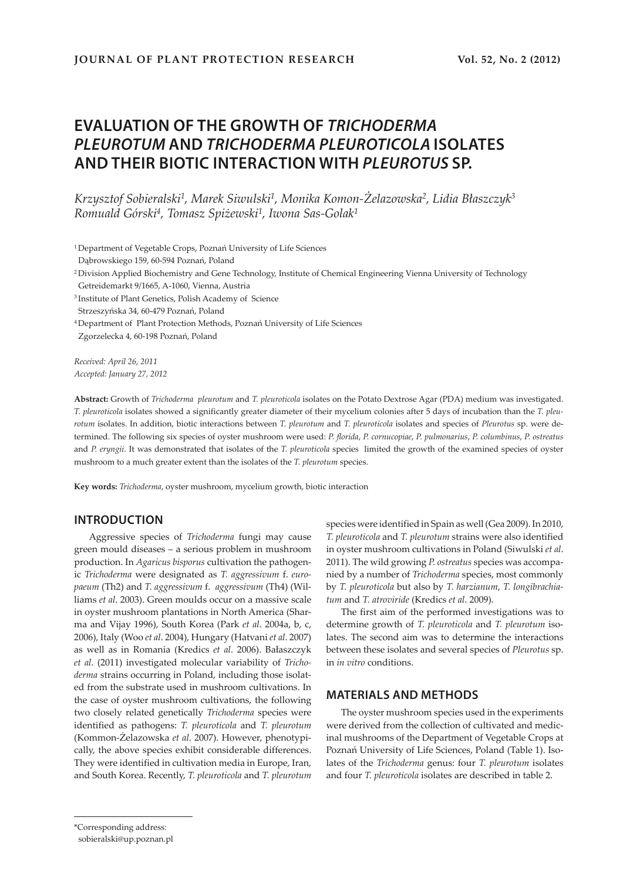# **EVALUATION OF THE GROWTH OF** *TRICHODERMA PLEUROTUM* **AND** *TRICHODERMA PLEUROTICOLA* **ISOLATES AND THEIR BIOTIC INTERACTION WITH** *PLEUROTUS* **SP.**

*Krzysztof Sobieralski1, Marek Siwulski1, Monika Komon-Żelazowska<sup>2</sup>, Lidia Błaszczyk<sup>3</sup> Romuald Górski4, Tomasz Spiżewski1, Iwona Sas-Golak1*

<sup>1</sup>Department of Vegetable Crops, Poznań University of Life Sciences

- Dąbrowskiego 159, 60-594 Poznań, Poland
- <sup>2</sup>Division Applied Biochemistry and Gene Technology, Institute of Chemical Engineering Vienna University of Technology Getreidemarkt 9/1665, A-1060, Vienna, Austria
- <sup>3</sup>Institute of Plant Genetics, Polish Academy of Science Strzeszyńska 34, 60-479 Poznań, Poland
- 
- <sup>4</sup>Department of Plant Protection Methods, Poznań University of Life Sciences Zgorzelecka 4, 60-198 Poznań, Poland

*Received: April 26, 2011 Accepted: January 27, 2012*

**Abstract:** Growth of *Trichoderma pleurotum* and *T. pleuroticola* isolates on the Potato Dextrose Agar (PDA) medium was investigated. *T. pleuroticola* isolates showed a significantly greater diameter of their mycelium colonies after 5 days of incubation than the *T. pleurotum* isolates. In addition, biotic interactions between *T. pleurotum* and *T. pleuroticola* isolates and species of *Pleurotus* sp. were determined. The following six species of oyster mushroom were used: *P. florida*, *P. cornucopiae*, *P. pulmonarius*, *P. columbinus*, *P. ostreatus* and *P. eryngii*. It was demonstrated that isolates of the *T. pleuroticola* species limited the growth of the examined species of oyster mushroom to a much greater extent than the isolates of the *T. pleurotum* species.

**Key words:** *Trichoderma*, oyster mushroom, mycelium growth, biotic interaction

# **INTRODUCTION**

Aggressive species of *Trichoderma* fungi may cause green mould diseases – a serious problem in mushroom production. In *Agaricus bisporus* cultivation the pathogenic *Trichoderma* were designated as *T. aggressivum* f. *europaeum* (Th2) and *T. aggressivum* f. *aggressivum* (Th4) (Williams *et al*. 2003). Green moulds occur on a massive scale in oyster mushroom plantations in North America (Sharma and Vijay 1996), South Korea (Park *et al*. 2004a, b, c, 2006), Italy (Woo *et al*. 2004), Hungary (Hatvani *et al*. 2007) as well as in Romania (Kredics *et al*. 2006). Bałaszczyk *et al*. (2011) investigated molecular variability of *Trichoderma* strains occurring in Poland, including those isolated from the substrate used in mushroom cultivations. In the case of oyster mushroom cultivations, the following two closely related genetically *Trichoderma* species were identified as pathogens: *T. pleuroticola* and *T. pleurotum* (Kommon-Żelazowska *et al*. 2007). However, phenotypically, the above species exhibit considerable differences. They were identified in cultivation media in Europe, Iran, and South Korea. Recently, *T. pleuroticola* and *T. pleurotum*

species were identified in Spain as well (Gea 2009). In 2010, *T. pleuroticola* and *T. pleurotum* strains were also identified in oyster mushroom cultivations in Poland (Siwulski *et al*. 2011). The wild growing *P. ostreatus* species was accompanied by a number of *Trichoderma* species, most commonly by *T. pleuroticola* but also by *T. harzianum*, *T. longibrachiatum* and *T. atroviride* (Kredics *et al*. 2009).

The first aim of the performed investigations was to determine growth of *T. pleuroticola* and *T. pleurotum* isolates. The second aim was to determine the interactions between these isolates and several species of *Pleurotus* sp. in *in vitro* conditions.

#### **MATERIALS AND METHODS**

The oyster mushroom species used in the experiments were derived from the collection of cultivated and medicinal mushrooms of the Department of Vegetable Crops at Poznań University of Life Sciences, Poland (Table 1). Isolates of the *Trichoderma* genus: four *T. pleurotum* isolates and four *T. pleuroticola* isolates are described in table 2.

<sup>\*</sup>Corresponding address:

sobieralski@up.poznan.pl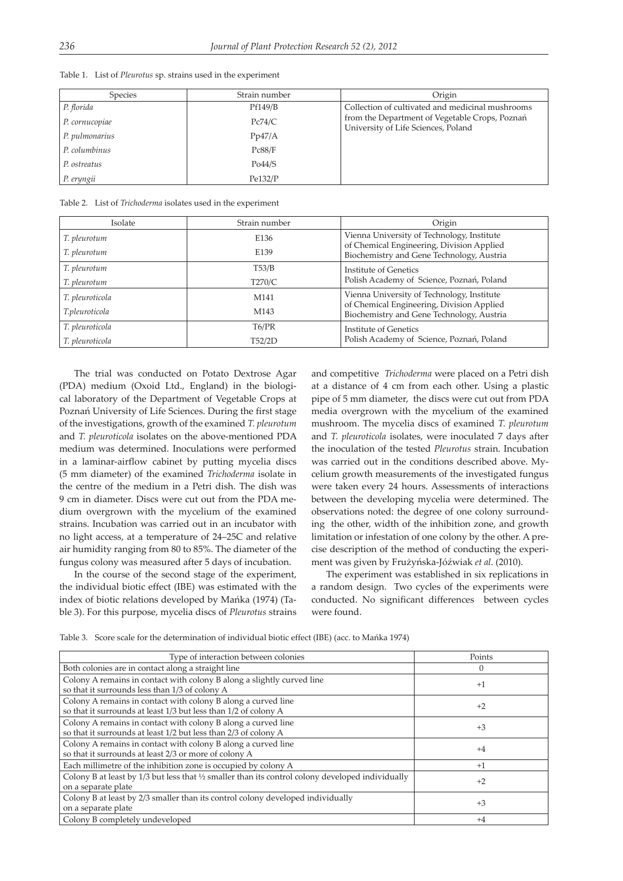| Species        | Strain number | Origin                                                                                |
|----------------|---------------|---------------------------------------------------------------------------------------|
| P. florida     | Pf149/B       | Collection of cultivated and medicinal mushrooms                                      |
| P. cornucopiae | Pc74/C        | from the Department of Vegetable Crops, Poznań<br>University of Life Sciences, Poland |
| P. pulmonarius | Pp47/A        |                                                                                       |
| P. columbinus  | Pc88/F        |                                                                                       |
| P. ostreatus   | Po44/S        |                                                                                       |
| P. eryngii     | Pe132/P       |                                                                                       |

Table 1. List of *Pleurotus* sp. strains used in the experiment

Table 2. List of *Trichoderma* isolates used in the experiment

| Isolate         | Strain number    | Origin                                                                                  |  |  |  |  |
|-----------------|------------------|-----------------------------------------------------------------------------------------|--|--|--|--|
| T. pleurotum    | E136             | Vienna University of Technology, Institute<br>of Chemical Engineering, Division Applied |  |  |  |  |
| T. pleurotum    | E139             | Biochemistry and Gene Technology, Austria                                               |  |  |  |  |
| T. pleurotum    | T53/B            | Institute of Genetics                                                                   |  |  |  |  |
| T. pleurotum    | T270/C           | Polish Academy of Science, Poznań, Poland                                               |  |  |  |  |
| T. pleuroticola | M <sub>141</sub> | Vienna University of Technology, Institute                                              |  |  |  |  |
| T.pleuroticola  | M143             | of Chemical Engineering, Division Applied<br>Biochemistry and Gene Technology, Austria  |  |  |  |  |
| T. pleuroticola | T6/PR            | Institute of Genetics                                                                   |  |  |  |  |
| T. pleuroticola | T52/2D           | Polish Academy of Science, Poznań, Poland                                               |  |  |  |  |

The trial was conducted on Potato Dextrose Agar (PDA) medium (Oxoid Ltd., England) in the biological laboratory of the Department of Vegetable Crops at Poznań University of Life Sciences. During the first stage of the investigations, growth of the examined *T. pleurotum* and *T. pleuroticola* isolates on the above-mentioned PDA medium was determined. Inoculations were performed in a laminar-airflow cabinet by putting mycelia discs (5 mm diameter) of the examined *Trichoderma* isolate in the centre of the medium in a Petri dish. The dish was 9 cm in diameter. Discs were cut out from the PDA medium overgrown with the mycelium of the examined strains. Incubation was carried out in an incubator with no light access, at a temperature of 24–25C and relative air humidity ranging from 80 to 85%. The diameter of the fungus colony was measured after 5 days of incubation.

In the course of the second stage of the experiment, the individual biotic effect (IBE) was estimated with the index of biotic relations developed by Mańka (1974) (Table 3). For this purpose, mycelia discs of *Pleurotus* strains and competitive *Trichoderma* were placed on a Petri dish at a distance of 4 cm from each other. Using a plastic pipe of 5 mm diameter, the discs were cut out from PDA media overgrown with the mycelium of the examined mushroom. The mycelia discs of examined *T. pleurotum* and *T. pleuroticola* isolates, were inoculated 7 days after the inoculation of the tested *Pleurotus* strain. Incubation was carried out in the conditions described above. Mycelium growth measurements of the investigated fungus were taken every 24 hours. Assessments of interactions between the developing mycelia were determined. The observations noted: the degree of one colony surrounding the other, width of the inhibition zone, and growth limitation or infestation of one colony by the other. A precise description of the method of conducting the experiment was given by Frużyńska-Jóźwiak *et al*. (2010).

The experiment was established in six replications in a random design. Two cycles of the experiments were conducted. No significant differences between cycles were found.

Table 3. Score scale for the determination of individual biotic effect (IBE) (acc. to Mańka 1974)

| Type of interaction between colonies                                                                          | Points   |  |  |
|---------------------------------------------------------------------------------------------------------------|----------|--|--|
| Both colonies are in contact along a straight line                                                            | $\Omega$ |  |  |
| Colony A remains in contact with colony B along a slightly curved line                                        | $+1$     |  |  |
| so that it surrounds less than 1/3 of colony A                                                                |          |  |  |
| Colony A remains in contact with colony B along a curved line                                                 | $+2$     |  |  |
| so that it surrounds at least 1/3 but less than 1/2 of colony A                                               |          |  |  |
| Colony A remains in contact with colony B along a curved line                                                 | $+3$     |  |  |
| so that it surrounds at least 1/2 but less than 2/3 of colony A                                               |          |  |  |
| Colony A remains in contact with colony B along a curved line                                                 | $+4$     |  |  |
| so that it surrounds at least 2/3 or more of colony A                                                         |          |  |  |
| Each millimetre of the inhibition zone is occupied by colony A                                                | $+1$     |  |  |
| Colony B at least by $1/3$ but less that $\frac{1}{2}$ smaller than its control colony developed individually | $+2$     |  |  |
| on a separate plate                                                                                           |          |  |  |
| Colony B at least by 2/3 smaller than its control colony developed individually                               | $+3$     |  |  |
| on a separate plate                                                                                           |          |  |  |
| Colony B completely undeveloped                                                                               | $+4$     |  |  |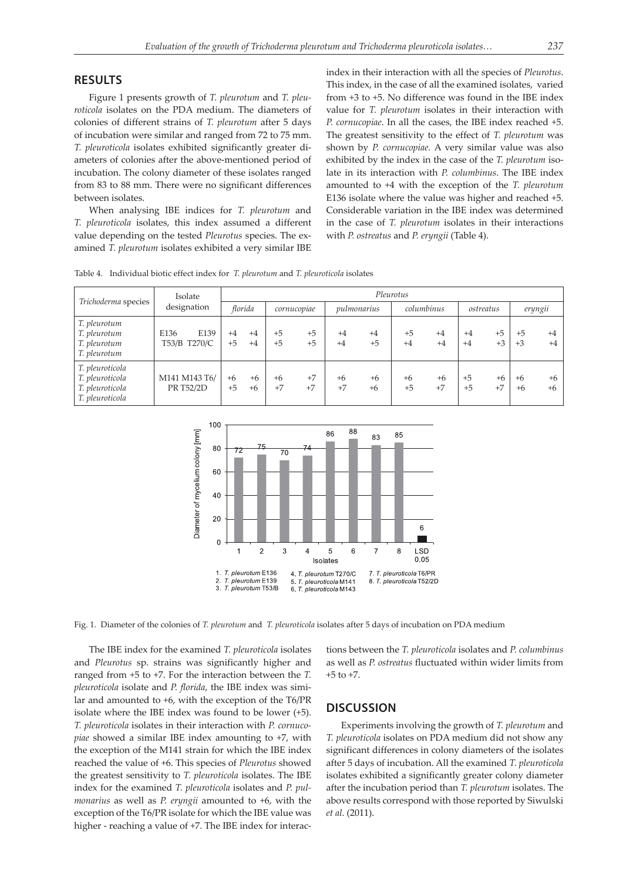#### **RESULTS**

Figure 1 presents growth of *T. pleurotum* and *T. pleuroticola* isolates on the PDA medium. The diameters of colonies of different strains of *T. pleurotum* after 5 days of incubation were similar and ranged from 72 to 75 mm. *T. pleuroticola* isolates exhibited significantly greater diameters of colonies after the above-mentioned period of incubation. The colony diameter of these isolates ranged from 83 to 88 mm. There were no significant differences between isolates.

When analysing IBE indices for *T. pleurotum* and *T. pleuroticola* isolates, this index assumed a different value depending on the tested *Pleurotus* species. The examined *T. pleurotum* isolates exhibited a very similar IBE index in their interaction with all the species of *Pleurotus*. This index, in the case of all the examined isolates, varied from +3 to +5. No difference was found in the IBE index value for *T. pleurotum* isolates in their interaction with *P. cornucopiae*. In all the cases, the IBE index reached +5. The greatest sensitivity to the effect of *T. pleurotum* was shown by *P. cornucopiae.* A very similar value was also exhibited by the index in the case of the *T. pleurotum* isolate in its interaction with *P. columbinus*. The IBE index amounted to +4 with the exception of the *T. pleurotum* E136 isolate where the value was higher and reached +5. Considerable variation in the IBE index was determined in the case of *T. pleurotum* isolates in their interactions with *P. ostreatus* and *P. eryngii* (Table 4).

Table 4. Individual biotic effect index for *T. pleurotum* and *T. pleuroticola* isolates

| Trichoderma species                                                      | Isolate<br>designation       | Pleurotus    |              |              |              |              |              |              |              |              |              |              |              |
|--------------------------------------------------------------------------|------------------------------|--------------|--------------|--------------|--------------|--------------|--------------|--------------|--------------|--------------|--------------|--------------|--------------|
|                                                                          |                              | florida      |              |              | cornucopiae  |              | pulmonarius  |              | columbinus   |              | ostreatus    |              | eryngii      |
| T. pleurotum<br>T. pleurotum<br>T. pleurotum<br>T. pleurotum             | E139<br>E136<br>T53/B T270/C | $+4$<br>$+5$ | $+4$<br>$+4$ | $+5$<br>$+5$ | $+5$<br>$+5$ | $+4$<br>$+4$ | $+4$<br>$+5$ | $+5$<br>$+4$ | $+4$<br>$+4$ | $+4$<br>$+4$ | $+5$<br>$+3$ | $+5$<br>$+3$ | $+4$<br>$+4$ |
| T. pleuroticola<br>T. pleuroticola<br>T. pleuroticola<br>T. pleuroticola | M141 M143 T6/<br>PR T52/2D   | $+6$<br>$+5$ | $+6$<br>$+6$ | $+6$<br>$+7$ | $+7$<br>$+7$ | $+6$<br>$+7$ | $+6$<br>$+6$ | $+6$<br>$+5$ | $+6$<br>$+7$ | $+5$<br>$+5$ | $+6$<br>$+7$ | $+6$<br>$+6$ | $+6$<br>$+6$ |



Fig. 1. Diameter of the colonies of *T. pleurotum* and *T. pleuroticola* isolates after 5 days of incubation on PDA medium

The IBE index for the examined *T. pleuroticola* isolates and *Pleurotus* sp. strains was significantly higher and ranged from +5 to +7. For the interaction between the *T. pleuroticola* isolate and *P. florida*, the IBE index was similar and amounted to +6, with the exception of the T6/PR isolate where the IBE index was found to be lower (+5). *T. pleuroticola* isolates in their interaction with *P. cornucopiae* showed a similar IBE index amounting to +7, with the exception of the M141 strain for which the IBE index reached the value of +6. This species of *Pleurotus* showed the greatest sensitivity to *T. pleuroticola* isolates. The IBE index for the examined *T. pleuroticola* isolates and *P. pulmonarius* as well as *P. eryngii* amounted to +6, with the exception of the T6/PR isolate for which the IBE value was higher - reaching a value of  $+7$ . The IBE index for interactions between the *T. pleuroticola* isolates and *P. columbinus* as well as *P. ostreatus* fluctuated within wider limits from  $+5$  to  $+7$ .

## **DISCUSSION**

Experiments involving the growth of *T. pleurotum* and *T. pleuroticola* isolates on PDA medium did not show any significant differences in colony diameters of the isolates after 5 days of incubation. All the examined *T. pleuroticola* isolates exhibited a significantly greater colony diameter after the incubation period than *T. pleurotum* isolates. The above results correspond with those reported by Siwulski *et al*. (2011).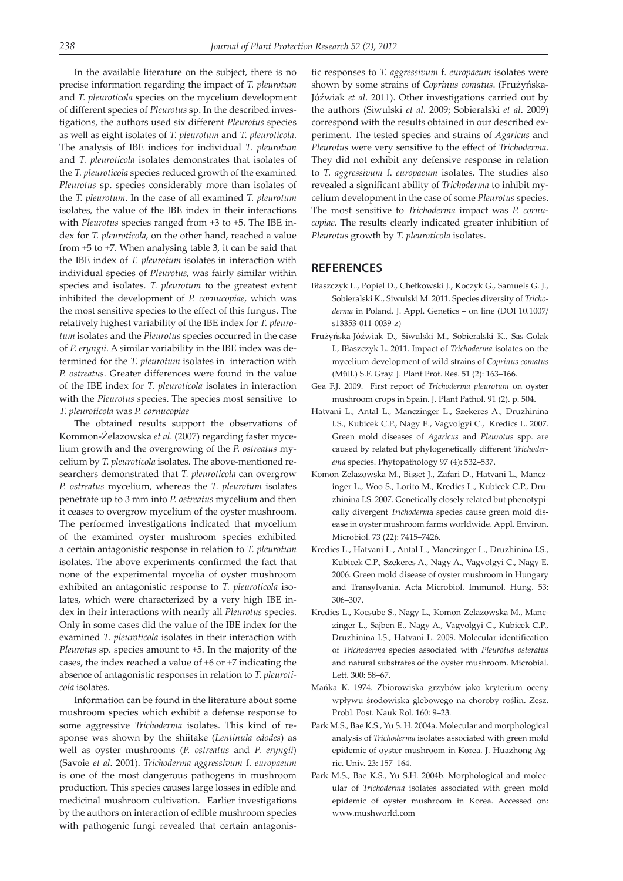In the available literature on the subject, there is no precise information regarding the impact of *T. pleurotum* and *T. pleuroticola* species on the mycelium development of different species of *Pleurotus* sp. In the described investigations, the authors used six different *Pleurotus* species as well as eight isolates of *T. pleurotum* and *T. pleuroticola*. The analysis of IBE indices for individual *T. pleurotum* and *T. pleuroticola* isolates demonstrates that isolates of the *T. pleuroticola* species reduced growth of the examined *Pleurotus* sp. species considerably more than isolates of the *T. pleurotum*. In the case of all examined *T. pleurotum* isolates, the value of the IBE index in their interactions with *Pleurotus* species ranged from +3 to +5. The IBE index for *T. pleuroticola,* on the other hand, reached a value from +5 to +7. When analysing table 3, it can be said that the IBE index of *T. pleurotum* isolates in interaction with individual species of *Pleurotus,* was fairly similar within species and isolates. *T. pleurotum* to the greatest extent inhibited the development of *P. cornucopiae*, which was the most sensitive species to the effect of this fungus. The relatively highest variability of the IBE index for *T. pleurotum* isolates and the *Pleurotus* species occurred in the case of *P. eryngii*. A similar variability in the IBE index was determined for the *T. pleurotum* isolates in interaction with *P. ostreatus*. Greater differences were found in the value of the IBE index for *T. pleuroticola* isolates in interaction with the *Pleurotus s*pecies. The species most sensitive to *T. pleuroticola* was *P. cornucopiae*

The obtained results support the observations of Kommon-Żelazowska *et al*. (2007) regarding faster mycelium growth and the overgrowing of the *P. ostreatus* mycelium by *T. pleuroticola* isolates. The above-mentioned researchers demonstrated that *T. pleuroticola* can overgrow *P. ostreatus* mycelium, whereas the *T. pleurotum* isolates penetrate up to 3 mm into *P. ostreatus* mycelium and then it ceases to overgrow mycelium of the oyster mushroom. The performed investigations indicated that mycelium of the examined oyster mushroom species exhibited a certain antagonistic response in relation to *T. pleurotum* isolates. The above experiments confirmed the fact that none of the experimental mycelia of oyster mushroom exhibited an antagonistic response to *T. pleuroticola* isolates, which were characterized by a very high IBE index in their interactions with nearly all *Pleurotus* species. Only in some cases did the value of the IBE index for the examined *T. pleuroticola* isolates in their interaction with *Pleurotus* sp. species amount to +5. In the majority of the cases, the index reached a value of +6 or +7 indicating the absence of antagonistic responses in relation to *T. pleuroticola* isolates.

Information can be found in the literature about some mushroom species which exhibit a defense response to some aggressive *Trichoderma* isolates. This kind of response was shown by the shiitake (*Lentinula edodes*) as well as oyster mushrooms (*P. ostreatus* and *P. eryngii*) (Savoie *et al*. 2001). *Trichoderma aggressivum* f. *europaeum* is one of the most dangerous pathogens in mushroom production. This species causes large losses in edible and medicinal mushroom cultivation. Earlier investigations by the authors on interaction of edible mushroom species with pathogenic fungi revealed that certain antagonis-

tic responses to *T. aggressivum* f. *europaeum* isolates were shown by some strains of *Coprinus comatus*. (Frużyńska-Jóźwiak *et al*. 2011). Other investigations carried out by the authors (Siwulski *et al*. 2009; Sobieralski *et al*. 2009) correspond with the results obtained in our described experiment. The tested species and strains of *Agaricus* and *Pleurotus* were very sensitive to the effect of *Trichoderma*. They did not exhibit any defensive response in relation to *T. aggressivum* f. *europaeum* isolates. The studies also revealed a significant ability of *Trichoderma* to inhibit mycelium development in the case of some *Pleurotus* species. The most sensitive to *Trichoderma* impact was *P. cornucopiae*. The results clearly indicated greater inhibition of *Pleurotus* growth by *T. pleuroticola* isolates.

## **REFERENCES**

- Błaszczyk L., Popiel D., Chełkowski J., Koczyk G., Samuels G. J., Sobieralski K., Siwulski M. 2011. Species diversity of *Trichoderma* in Poland. J. Appl. Genetics – on line (DOI 10.1007/ s13353-011-0039-z)
- Frużyńska-Jóźwiak D., Siwulski M., Sobieralski K., Sas-Golak I., Błaszczyk L. 2011. Impact of *Trichoderma* isolates on the mycelium development of wild strains of *Coprinus comatus* (Müll.) S.F. Gray. J. Plant Prot. Res. 51 (2): 163–166.
- Gea F.J. 2009. First report of *Trichoderma pleurotum* on oyster mushroom crops in Spain. J. Plant Pathol. 91 (2). p. 504.
- Hatvani L., Antal L., Manczinger L., Szekeres A., Druzhinina I.S., Kubicek C.P., Nagy E., Vagvolgyi C., Kredics L. 2007. Green mold diseases of *Agaricus* and *Pleurotus* spp. are caused by related but phylogenetically different *Trichoderema* species. Phytopathology 97 (4): 532–537.
- Komon-Zelazowska M., Bisset J., Zafari D., Hatvani L., Manczinger L., Woo S., Lorito M., Kredics L., Kubicek C.P., Druzhinina I.S. 2007. Genetically closely related but phenotypically divergent *Trichoderm*a species cause green mold disease in oyster mushroom farms worldwide. Appl. Environ. Microbiol. 73 (22): 7415–7426.
- Kredics L., Hatvani L., Antal L., Manczinger L., Druzhinina I.S., Kubicek C.P., Szekeres A., Nagy A., Vagvolgyi C., Nagy E. 2006. Green mold disease of oyster mushroom in Hungary and Transylvania. Acta Microbiol. Immunol. Hung. 53: 306–307.
- Kredics L., Kocsube S., Nagy L., Komon-Zelazowska M., Manczinger L., Sajben E., Nagy A., Vagvolgyi C., Kubicek C.P., Druzhinina I.S., Hatvani L. 2009. Molecular identification of *Trichoderma* species associated with *Pleurotus osteratus* and natural substrates of the oyster mushroom. Microbial. Lett. 300: 58–67.
- Mańka K. 1974. Zbiorowiska grzybów jako kryterium oceny wpływu środowiska glebowego na choroby roślin. Zesz. Probl. Post. Nauk Rol. 160: 9–23.
- Park M.S., Bae K.S., Yu S. H. 2004a. Molecular and morphological analysis of *Trichoderma* isolates associated with green mold epidemic of oyster mushroom in Korea. J. Huazhong Agric. Univ. 23: 157–164.
- Park M.S., Bae K.S., Yu S.H. 2004b. Morphological and molecular of *Trichoderma* isolates associated with green mold epidemic of oyster mushroom in Korea. Accessed on: www.mushworld.com